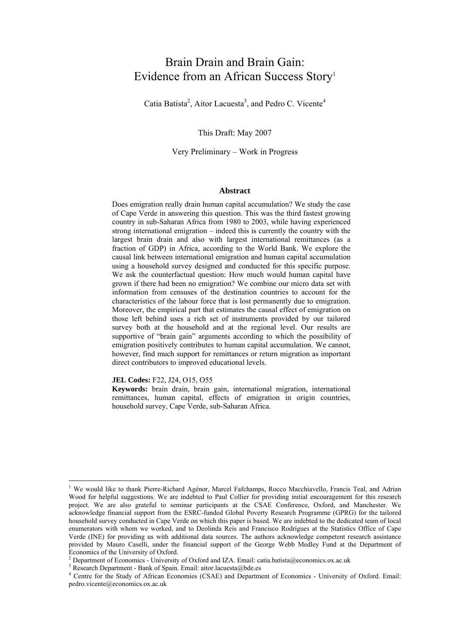## Brain Drain and Brain Gain: Evidence from an African Success Story<sup>1</sup>

Catia Batista<sup>2</sup>, Aitor Lacuesta<sup>3</sup>, and Pedro C. Vicente<sup>4</sup>

This Draft: May 2007

Very Preliminary – Work in Progress

#### **Abstract**

Does emigration really drain human capital accumulation? We study the case of Cape Verde in answering this question. This was the third fastest growing country in sub-Saharan Africa from 1980 to 2003, while having experienced strong international emigration – indeed this is currently the country with the largest brain drain and also with largest international remittances (as a fraction of GDP) in Africa, according to the World Bank. We explore the causal link between international emigration and human capital accumulation using a household survey designed and conducted for this specific purpose. We ask the counterfactual question: How much would human capital have grown if there had been no emigration? We combine our micro data set with information from censuses of the destination countries to account for the characteristics of the labour force that is lost permanently due to emigration. Moreover, the empirical part that estimates the causal effect of emigration on those left behind uses a rich set of instruments provided by our tailored survey both at the household and at the regional level. Our results are supportive of "brain gain" arguments according to which the possibility of emigration positively contributes to human capital accumulation. We cannot, however, find much support for remittances or return migration as important direct contributors to improved educational levels.

#### **JEL Codes:** F22, J24, O15, O55

 $\overline{a}$ 

**Keywords:** brain drain, brain gain, international migration, international remittances, human capital, effects of emigration in origin countries, household survey, Cape Verde, sub-Saharan Africa.

<sup>&</sup>lt;sup>1</sup> We would like to thank Pierre-Richard Agénor, Marcel Fafchamps, Rocco Macchiavello, Francis Teal, and Adrian Wood for helpful suggestions. We are indebted to Paul Collier for providing initial encouragement for this research project. We are also grateful to seminar participants at the CSAE Conference, Oxford, and Manchester. We acknowledge financial support from the ESRC-funded Global Poverty Research Programme (GPRG) for the tailored household survey conducted in Cape Verde on which this paper is based. We are indebted to the dedicated team of local enumerators with whom we worked, and to Deolinda Reis and Francisco Rodrigues at the Statistics Office of Cape Verde (INE) for providing us with additional data sources. The authors acknowledge competent research assistance provided by Mauro Caselli, under the financial support of the George Webb Medley Fund at the Department of Economics of the University of Oxford.

<sup>&</sup>lt;sup>2</sup> Department of Economics - University of Oxford and IZA. Email: catia.batista@economics.ox.ac.uk<br><sup>3</sup> Because Department. Bank of Spain, Email: citar lequate@hde.ac.

<sup>&</sup>lt;sup>3</sup> Research Department - Bank of Spain. Email: aitor.lacuesta@bde.es

<sup>4</sup> Centre for the Study of African Economies (CSAE) and Department of Economics - University of Oxford. Email: pedro.vicente@economics.ox.ac.uk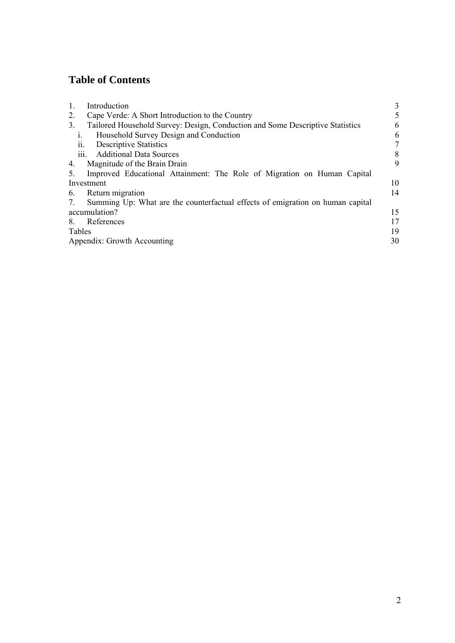## **Table of Contents**

| Cape Verde: A Short Introduction to the Country<br>2.<br>Tailored Household Survey: Design, Conduction and Some Descriptive Statistics<br>3.<br>Household Survey Design and Conduction<br>1.<br><b>Descriptive Statistics</b><br>11.<br>iii. Additional Data Sources<br>Magnitude of the Brain Drain<br>4.<br>Improved Educational Attainment: The Role of Migration on Human Capital<br>5.<br>Investment<br>Return migration<br>6.<br>Summing Up: What are the counterfactual effects of emigration on human capital<br>7.<br>accumulation?<br>References<br>8.<br>Tables<br>Appendix: Growth Accounting | $\mathbf{1}$ . | Introduction | 3  |
|-----------------------------------------------------------------------------------------------------------------------------------------------------------------------------------------------------------------------------------------------------------------------------------------------------------------------------------------------------------------------------------------------------------------------------------------------------------------------------------------------------------------------------------------------------------------------------------------------------------|----------------|--------------|----|
|                                                                                                                                                                                                                                                                                                                                                                                                                                                                                                                                                                                                           |                |              | 5  |
|                                                                                                                                                                                                                                                                                                                                                                                                                                                                                                                                                                                                           |                |              | 6  |
|                                                                                                                                                                                                                                                                                                                                                                                                                                                                                                                                                                                                           |                |              | 6  |
|                                                                                                                                                                                                                                                                                                                                                                                                                                                                                                                                                                                                           |                |              | 7  |
|                                                                                                                                                                                                                                                                                                                                                                                                                                                                                                                                                                                                           |                |              | 8  |
|                                                                                                                                                                                                                                                                                                                                                                                                                                                                                                                                                                                                           |                |              | 9  |
|                                                                                                                                                                                                                                                                                                                                                                                                                                                                                                                                                                                                           |                |              |    |
|                                                                                                                                                                                                                                                                                                                                                                                                                                                                                                                                                                                                           |                |              | 10 |
|                                                                                                                                                                                                                                                                                                                                                                                                                                                                                                                                                                                                           |                |              | 14 |
|                                                                                                                                                                                                                                                                                                                                                                                                                                                                                                                                                                                                           |                |              |    |
|                                                                                                                                                                                                                                                                                                                                                                                                                                                                                                                                                                                                           |                |              | 15 |
|                                                                                                                                                                                                                                                                                                                                                                                                                                                                                                                                                                                                           |                |              | 17 |
|                                                                                                                                                                                                                                                                                                                                                                                                                                                                                                                                                                                                           |                |              | 19 |
|                                                                                                                                                                                                                                                                                                                                                                                                                                                                                                                                                                                                           |                |              | 30 |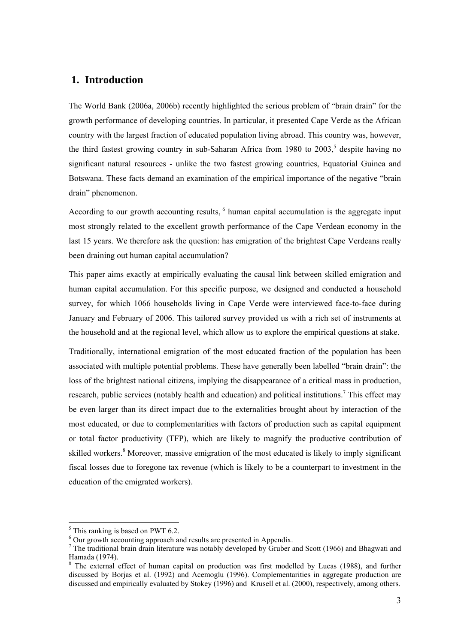### **1. Introduction**

The World Bank (2006a, 2006b) recently highlighted the serious problem of "brain drain" for the growth performance of developing countries. In particular, it presented Cape Verde as the African country with the largest fraction of educated population living abroad. This country was, however, the third fastest growing country in sub-Saharan Africa from 1980 to  $2003$ ,<sup>5</sup> despite having no significant natural resources - unlike the two fastest growing countries, Equatorial Guinea and Botswana. These facts demand an examination of the empirical importance of the negative "brain drain" phenomenon.

According to our growth accounting results, <sup>6</sup> human capital accumulation is the aggregate input most strongly related to the excellent growth performance of the Cape Verdean economy in the last 15 years. We therefore ask the question: has emigration of the brightest Cape Verdeans really been draining out human capital accumulation?

This paper aims exactly at empirically evaluating the causal link between skilled emigration and human capital accumulation. For this specific purpose, we designed and conducted a household survey, for which 1066 households living in Cape Verde were interviewed face-to-face during January and February of 2006. This tailored survey provided us with a rich set of instruments at the household and at the regional level, which allow us to explore the empirical questions at stake.

Traditionally, international emigration of the most educated fraction of the population has been associated with multiple potential problems. These have generally been labelled "brain drain": the loss of the brightest national citizens, implying the disappearance of a critical mass in production, research, public services (notably health and education) and political institutions.<sup>7</sup> This effect may be even larger than its direct impact due to the externalities brought about by interaction of the most educated, or due to complementarities with factors of production such as capital equipment or total factor productivity (TFP), which are likely to magnify the productive contribution of skilled workers.<sup>8</sup> Moreover, massive emigration of the most educated is likely to imply significant fiscal losses due to foregone tax revenue (which is likely to be a counterpart to investment in the education of the emigrated workers).

 $\overline{a}$ 

<sup>&</sup>lt;sup>5</sup> This ranking is based on PWT 6.2.

 $^6$  Our growth accounting approach and results are presented in Appendix.

 $\tau$  The traditional brain drain literature was notably developed by Gruber and Scott (1966) and Bhagwati and Hamada (1974).

<sup>&</sup>lt;sup>8</sup> The external effect of human capital on production was first modelled by Lucas (1988), and further discussed by Borjas et al. (1992) and Acemoglu (1996). Complementarities in aggregate production are discussed and empirically evaluated by Stokey (1996) and Krusell et al. (2000), respectively, among others.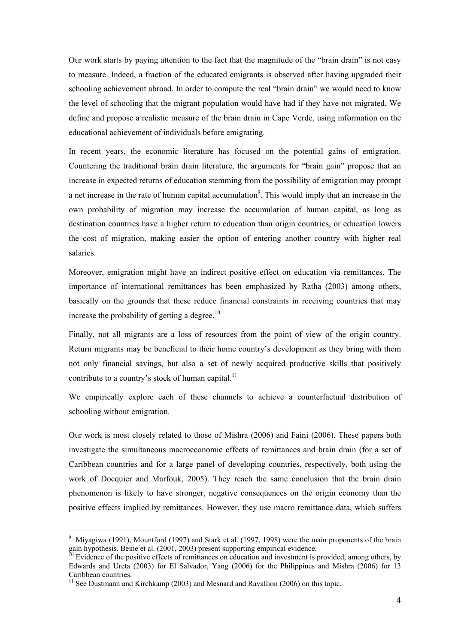Our work starts by paying attention to the fact that the magnitude of the "brain drain" is not easy to measure. Indeed, a fraction of the educated emigrants is observed after having upgraded their schooling achievement abroad. In order to compute the real "brain drain" we would need to know the level of schooling that the migrant population would have had if they have not migrated. We define and propose a realistic measure of the brain drain in Cape Verde, using information on the educational achievement of individuals before emigrating.

In recent years, the economic literature has focused on the potential gains of emigration. Countering the traditional brain drain literature, the arguments for "brain gain" propose that an increase in expected returns of education stemming from the possibility of emigration may prompt a net increase in the rate of human capital accumulation<sup>9</sup>. This would imply that an increase in the own probability of migration may increase the accumulation of human capital, as long as destination countries have a higher return to education than origin countries, or education lowers the cost of migration, making easier the option of entering another country with higher real salaries.

Moreover, emigration might have an indirect positive effect on education via remittances. The importance of international remittances has been emphasized by Ratha (2003) among others, basically on the grounds that these reduce financial constraints in receiving countries that may increase the probability of getting a degree.<sup>10</sup>

Finally, not all migrants are a loss of resources from the point of view of the origin country. Return migrants may be beneficial to their home country's development as they bring with them not only financial savings, but also a set of newly acquired productive skills that positively contribute to a country's stock of human capital.<sup>11</sup>

We empirically explore each of these channels to achieve a counterfactual distribution of schooling without emigration.

Our work is most closely related to those of Mishra (2006) and Faini (2006). These papers both investigate the simultaneous macroeconomic effects of remittances and brain drain (for a set of Caribbean countries and for a large panel of developing countries, respectively, both using the work of Docquier and Marfouk, 2005). They reach the same conclusion that the brain drain phenomenon is likely to have stronger, negative consequences on the origin economy than the positive effects implied by remittances. However, they use macro remittance data, which suffers

 $\overline{a}$ 

<sup>9</sup> Miyagiwa (1991), Mountford (1997) and Stark et al. (1997, 1998) were the main proponents of the brain gain hypothesis. Beine et al. (2001, 2003) present supporting empirical evidence.<br><sup>10</sup> Evidence of the positive effects of remittances on education and investment is provided, among others, by

Edwards and Ureta (2003) for El Salvador, Yang (2006) for the Philippines and Mishra (2006) for 13 Caribbean countries.

 $11$  See Dustmann and Kirchkamp (2003) and Mesnard and Ravallion (2006) on this topic.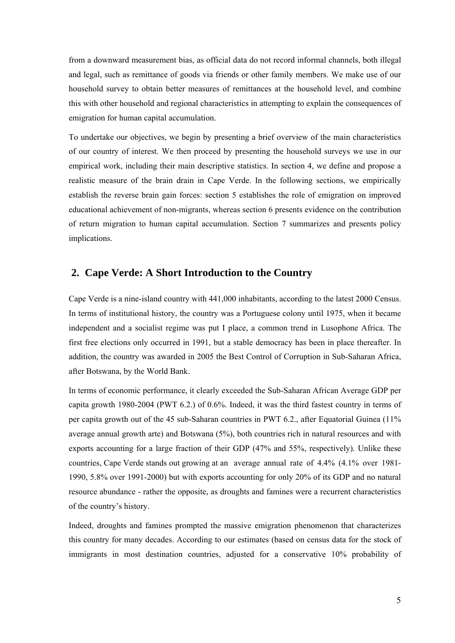from a downward measurement bias, as official data do not record informal channels, both illegal and legal, such as remittance of goods via friends or other family members. We make use of our household survey to obtain better measures of remittances at the household level, and combine this with other household and regional characteristics in attempting to explain the consequences of emigration for human capital accumulation.

To undertake our objectives, we begin by presenting a brief overview of the main characteristics of our country of interest. We then proceed by presenting the household surveys we use in our empirical work, including their main descriptive statistics. In section 4, we define and propose a realistic measure of the brain drain in Cape Verde. In the following sections, we empirically establish the reverse brain gain forces: section 5 establishes the role of emigration on improved educational achievement of non-migrants, whereas section 6 presents evidence on the contribution of return migration to human capital accumulation. Section 7 summarizes and presents policy implications.

### **2. Cape Verde: A Short Introduction to the Country**

Cape Verde is a nine-island country with 441,000 inhabitants, according to the latest 2000 Census. In terms of institutional history, the country was a Portuguese colony until 1975, when it became independent and a socialist regime was put I place, a common trend in Lusophone Africa. The first free elections only occurred in 1991, but a stable democracy has been in place thereafter. In addition, the country was awarded in 2005 the Best Control of Corruption in Sub-Saharan Africa, after Botswana, by the World Bank.

In terms of economic performance, it clearly exceeded the Sub-Saharan African Average GDP per capita growth 1980-2004 (PWT 6.2.) of 0.6%. Indeed, it was the third fastest country in terms of per capita growth out of the 45 sub-Saharan countries in PWT 6.2., after Equatorial Guinea (11% average annual growth arte) and Botswana (5%), both countries rich in natural resources and with exports accounting for a large fraction of their GDP (47% and 55%, respectively). Unlike these countries, Cape Verde stands out growing at an average annual rate of 4.4% (4.1% over 1981- 1990, 5.8% over 1991-2000) but with exports accounting for only 20% of its GDP and no natural resource abundance - rather the opposite, as droughts and famines were a recurrent characteristics of the country's history.

Indeed, droughts and famines prompted the massive emigration phenomenon that characterizes this country for many decades. According to our estimates (based on census data for the stock of immigrants in most destination countries, adjusted for a conservative 10% probability of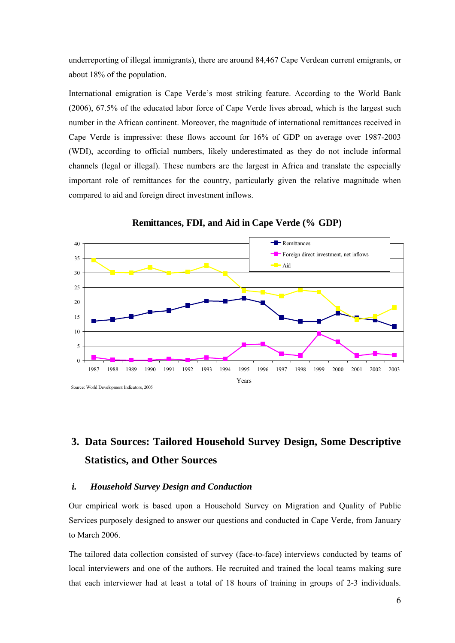underreporting of illegal immigrants), there are around 84,467 Cape Verdean current emigrants, or about 18% of the population.

International emigration is Cape Verde's most striking feature. According to the World Bank (2006), 67.5% of the educated labor force of Cape Verde lives abroad, which is the largest such number in the African continent. Moreover, the magnitude of international remittances received in Cape Verde is impressive: these flows account for 16% of GDP on average over 1987-2003 (WDI), according to official numbers, likely underestimated as they do not include informal channels (legal or illegal). These numbers are the largest in Africa and translate the especially important role of remittances for the country, particularly given the relative magnitude when compared to aid and foreign direct investment inflows.



**Remittances, FDI, and Aid in Cape Verde (% GDP)**

# **3. Data Sources: Tailored Household Survey Design, Some Descriptive Statistics, and Other Sources**

#### *i. Household Survey Design and Conduction*

Our empirical work is based upon a Household Survey on Migration and Quality of Public Services purposely designed to answer our questions and conducted in Cape Verde, from January to March 2006.

The tailored data collection consisted of survey (face-to-face) interviews conducted by teams of local interviewers and one of the authors. He recruited and trained the local teams making sure that each interviewer had at least a total of 18 hours of training in groups of 2-3 individuals.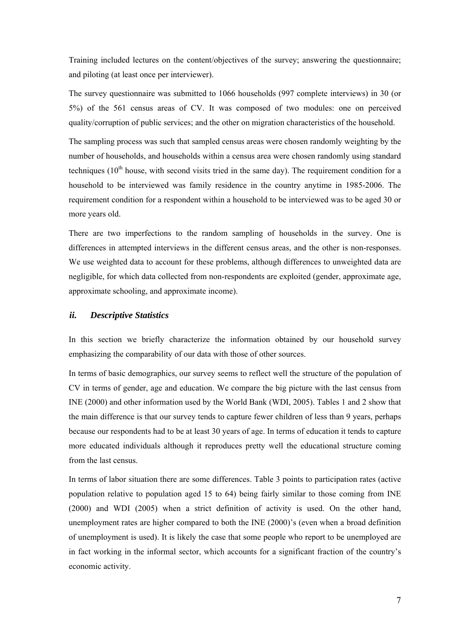Training included lectures on the content/objectives of the survey; answering the questionnaire; and piloting (at least once per interviewer).

The survey questionnaire was submitted to 1066 households (997 complete interviews) in 30 (or 5%) of the 561 census areas of CV. It was composed of two modules: one on perceived quality/corruption of public services; and the other on migration characteristics of the household.

The sampling process was such that sampled census areas were chosen randomly weighting by the number of households, and households within a census area were chosen randomly using standard techniques  $(10<sup>th</sup>$  house, with second visits tried in the same day). The requirement condition for a household to be interviewed was family residence in the country anytime in 1985-2006. The requirement condition for a respondent within a household to be interviewed was to be aged 30 or more years old.

There are two imperfections to the random sampling of households in the survey. One is differences in attempted interviews in the different census areas, and the other is non-responses. We use weighted data to account for these problems, although differences to unweighted data are negligible, for which data collected from non-respondents are exploited (gender, approximate age, approximate schooling, and approximate income).

#### *ii. Descriptive Statistics*

In this section we briefly characterize the information obtained by our household survey emphasizing the comparability of our data with those of other sources.

In terms of basic demographics, our survey seems to reflect well the structure of the population of CV in terms of gender, age and education. We compare the big picture with the last census from INE (2000) and other information used by the World Bank (WDI, 2005). Tables 1 and 2 show that the main difference is that our survey tends to capture fewer children of less than 9 years, perhaps because our respondents had to be at least 30 years of age. In terms of education it tends to capture more educated individuals although it reproduces pretty well the educational structure coming from the last census.

In terms of labor situation there are some differences. Table 3 points to participation rates (active population relative to population aged 15 to 64) being fairly similar to those coming from INE (2000) and WDI (2005) when a strict definition of activity is used. On the other hand, unemployment rates are higher compared to both the INE (2000)'s (even when a broad definition of unemployment is used). It is likely the case that some people who report to be unemployed are in fact working in the informal sector, which accounts for a significant fraction of the country's economic activity.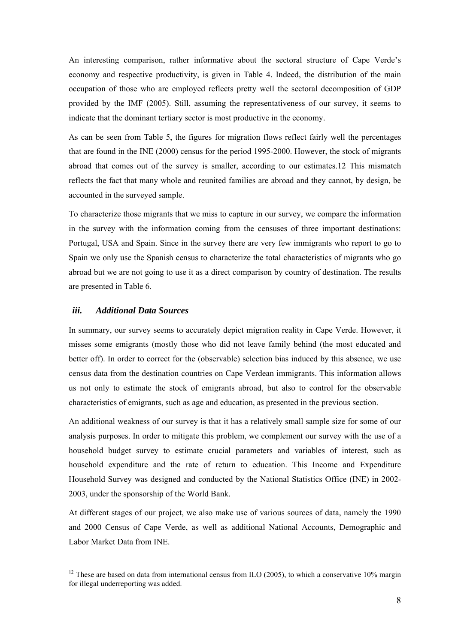An interesting comparison, rather informative about the sectoral structure of Cape Verde's economy and respective productivity, is given in Table 4. Indeed, the distribution of the main occupation of those who are employed reflects pretty well the sectoral decomposition of GDP provided by the IMF (2005). Still, assuming the representativeness of our survey, it seems to indicate that the dominant tertiary sector is most productive in the economy.

As can be seen from Table 5, the figures for migration flows reflect fairly well the percentages that are found in the INE (2000) census for the period 1995-2000. However, the stock of migrants abroad that comes out of the survey is smaller, according to our estimates.12 This mismatch reflects the fact that many whole and reunited families are abroad and they cannot, by design, be accounted in the surveyed sample.

To characterize those migrants that we miss to capture in our survey, we compare the information in the survey with the information coming from the censuses of three important destinations: Portugal, USA and Spain. Since in the survey there are very few immigrants who report to go to Spain we only use the Spanish census to characterize the total characteristics of migrants who go abroad but we are not going to use it as a direct comparison by country of destination. The results are presented in Table 6.

#### *iii. Additional Data Sources*

 $\overline{a}$ 

In summary, our survey seems to accurately depict migration reality in Cape Verde. However, it misses some emigrants (mostly those who did not leave family behind (the most educated and better off). In order to correct for the (observable) selection bias induced by this absence, we use census data from the destination countries on Cape Verdean immigrants. This information allows us not only to estimate the stock of emigrants abroad, but also to control for the observable characteristics of emigrants, such as age and education, as presented in the previous section.

An additional weakness of our survey is that it has a relatively small sample size for some of our analysis purposes. In order to mitigate this problem, we complement our survey with the use of a household budget survey to estimate crucial parameters and variables of interest, such as household expenditure and the rate of return to education. This Income and Expenditure Household Survey was designed and conducted by the National Statistics Office (INE) in 2002- 2003, under the sponsorship of the World Bank.

At different stages of our project, we also make use of various sources of data, namely the 1990 and 2000 Census of Cape Verde, as well as additional National Accounts, Demographic and Labor Market Data from INE.

 $12$  These are based on data from international census from ILO (2005), to which a conservative 10% margin for illegal underreporting was added.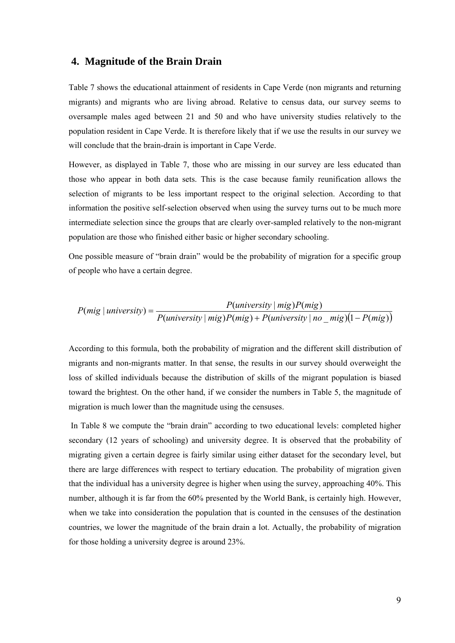#### **4. Magnitude of the Brain Drain**

Table 7 shows the educational attainment of residents in Cape Verde (non migrants and returning migrants) and migrants who are living abroad. Relative to census data, our survey seems to oversample males aged between 21 and 50 and who have university studies relatively to the population resident in Cape Verde. It is therefore likely that if we use the results in our survey we will conclude that the brain-drain is important in Cape Verde.

However, as displayed in Table 7, those who are missing in our survey are less educated than those who appear in both data sets. This is the case because family reunification allows the selection of migrants to be less important respect to the original selection. According to that information the positive self-selection observed when using the survey turns out to be much more intermediate selection since the groups that are clearly over-sampled relatively to the non-migrant population are those who finished either basic or higher secondary schooling.

One possible measure of "brain drain" would be the probability of migration for a specific group of people who have a certain degree.

$$
P(mig | university) = \frac{P(university | mig)P(mig)}{P(university | mig)P(mig) + P(university | no _mig)(1 - P(mig))}
$$

According to this formula, both the probability of migration and the different skill distribution of migrants and non-migrants matter. In that sense, the results in our survey should overweight the loss of skilled individuals because the distribution of skills of the migrant population is biased toward the brightest. On the other hand, if we consider the numbers in Table 5, the magnitude of migration is much lower than the magnitude using the censuses.

 In Table 8 we compute the "brain drain" according to two educational levels: completed higher secondary (12 years of schooling) and university degree. It is observed that the probability of migrating given a certain degree is fairly similar using either dataset for the secondary level, but there are large differences with respect to tertiary education. The probability of migration given that the individual has a university degree is higher when using the survey, approaching 40%. This number, although it is far from the 60% presented by the World Bank, is certainly high. However, when we take into consideration the population that is counted in the censuses of the destination countries, we lower the magnitude of the brain drain a lot. Actually, the probability of migration for those holding a university degree is around 23%.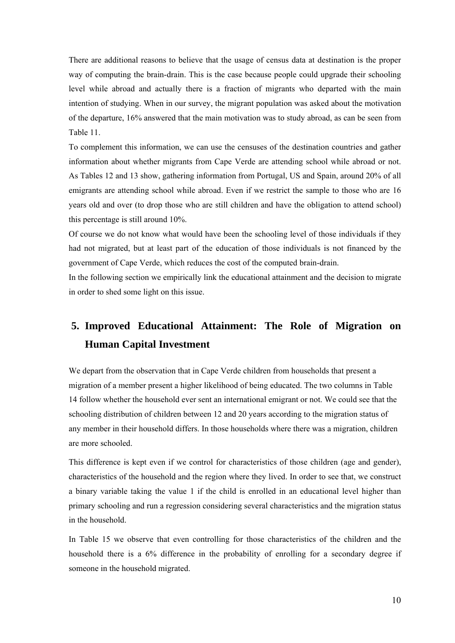There are additional reasons to believe that the usage of census data at destination is the proper way of computing the brain-drain. This is the case because people could upgrade their schooling level while abroad and actually there is a fraction of migrants who departed with the main intention of studying. When in our survey, the migrant population was asked about the motivation of the departure, 16% answered that the main motivation was to study abroad, as can be seen from Table 11.

To complement this information, we can use the censuses of the destination countries and gather information about whether migrants from Cape Verde are attending school while abroad or not. As Tables 12 and 13 show, gathering information from Portugal, US and Spain, around 20% of all emigrants are attending school while abroad. Even if we restrict the sample to those who are 16 years old and over (to drop those who are still children and have the obligation to attend school) this percentage is still around 10%.

Of course we do not know what would have been the schooling level of those individuals if they had not migrated, but at least part of the education of those individuals is not financed by the government of Cape Verde, which reduces the cost of the computed brain-drain.

In the following section we empirically link the educational attainment and the decision to migrate in order to shed some light on this issue.

# **5. Improved Educational Attainment: The Role of Migration on Human Capital Investment**

We depart from the observation that in Cape Verde children from households that present a migration of a member present a higher likelihood of being educated. The two columns in Table 14 follow whether the household ever sent an international emigrant or not. We could see that the schooling distribution of children between 12 and 20 years according to the migration status of any member in their household differs. In those households where there was a migration, children are more schooled.

This difference is kept even if we control for characteristics of those children (age and gender), characteristics of the household and the region where they lived. In order to see that, we construct a binary variable taking the value 1 if the child is enrolled in an educational level higher than primary schooling and run a regression considering several characteristics and the migration status in the household.

In Table 15 we observe that even controlling for those characteristics of the children and the household there is a 6% difference in the probability of enrolling for a secondary degree if someone in the household migrated.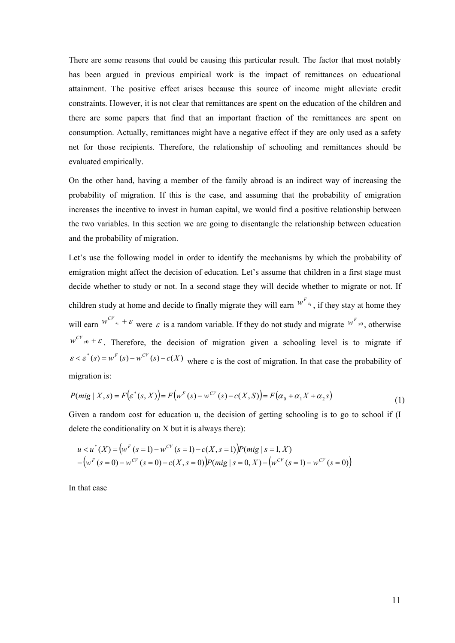There are some reasons that could be causing this particular result. The factor that most notably has been argued in previous empirical work is the impact of remittances on educational attainment. The positive effect arises because this source of income might alleviate credit constraints. However, it is not clear that remittances are spent on the education of the children and there are some papers that find that an important fraction of the remittances are spent on consumption. Actually, remittances might have a negative effect if they are only used as a safety net for those recipients. Therefore, the relationship of schooling and remittances should be evaluated empirically.

On the other hand, having a member of the family abroad is an indirect way of increasing the probability of migration. If this is the case, and assuming that the probability of emigration increases the incentive to invest in human capital, we would find a positive relationship between the two variables. In this section we are going to disentangle the relationship between education and the probability of migration.

Let's use the following model in order to identify the mechanisms by which the probability of emigration might affect the decision of education. Let's assume that children in a first stage must decide whether to study or not. In a second stage they will decide whether to migrate or not. If children study at home and decide to finally migrate they will earn  $W^{F_{s_1}}$ , if they stay at home they will earn  $w^{CV}_{s_1} + \varepsilon$  were  $\varepsilon$  is a random variable. If they do not study and migrate  $w^{F}_{s_0}$ , otherwise  $w^{CV}_{s0} + \varepsilon$ . Therefore, the decision of migration given a schooling level is to migrate if  $\epsilon < \epsilon^*(s) = w^F(s) - w^{CF}(s) - c(X)$  where c is the cost of migration. In that case the probability of migration is:

$$
P(mig | X, s) = F(e^*(s, X)) = F(w^F(s) - w^{CV}(s) - c(X, S)) = F(\alpha_0 + \alpha_1 X + \alpha_2 s)
$$
\n(1)

Given a random cost for education u, the decision of getting schooling is to go to school if (I delete the conditionality on X but it is always there):

$$
u < u^*(X) = (wF (s = 1) – wCV (s = 1) – c(X, s = 1))P(mig | s = 1, X)
$$
  
– 
$$
(wF (s = 0) – wCV (s = 0) – c(X, s = 0))P(mig | s = 0, X) + (wCV (s = 1) – wCV (s = 0))
$$

In that case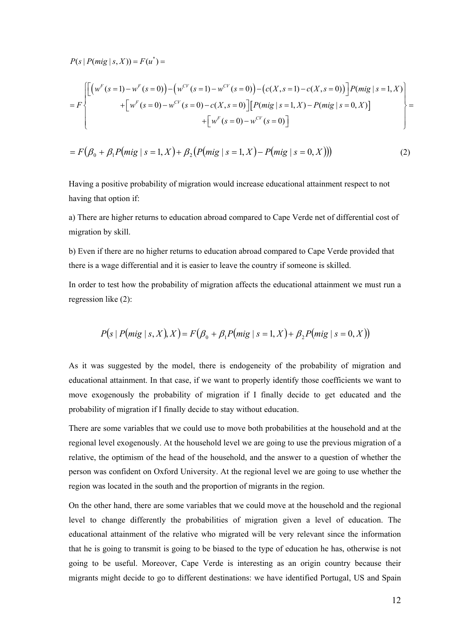$P(s | P(mig | s, X)) = F(u^*) =$ 

$$
=F\left\{\begin{bmatrix}\left(w^{F}(s=1)-w^{F}(s=0)\right)-\left(w^{CV}(s=1)-w^{CV}(s=0)\right)-\left(c(X,s=1)-c(X,s=0)\right)\end{bmatrix}P(mig\mid s=1,X)\\+\left[w^{F}(s=0)-w^{CV}(s=0)-c(X,s=0)\right]\left[P(mig\mid s=1,X)-P(mig\mid s=0,X)\right]\\+\left[w^{F}(s=0)-w^{CV}(s=0)\right]\end{bmatrix}\right\}=\right\}
$$

$$
= F(\beta_0 + \beta_1 P(mig \mid s = 1, X) + \beta_2 (P(mig \mid s = 1, X) - P(mig \mid s = 0, X)))
$$
\n(2)

Having a positive probability of migration would increase educational attainment respect to not having that option if:

a) There are higher returns to education abroad compared to Cape Verde net of differential cost of migration by skill.

b) Even if there are no higher returns to education abroad compared to Cape Verde provided that there is a wage differential and it is easier to leave the country if someone is skilled.

In order to test how the probability of migration affects the educational attainment we must run a regression like (2):

$$
P(s | P(mig | s, X), X) = F(\beta_0 + \beta_1 P(mig | s = 1, X) + \beta_2 P(mig | s = 0, X))
$$

As it was suggested by the model, there is endogeneity of the probability of migration and educational attainment. In that case, if we want to properly identify those coefficients we want to move exogenously the probability of migration if I finally decide to get educated and the probability of migration if I finally decide to stay without education.

There are some variables that we could use to move both probabilities at the household and at the regional level exogenously. At the household level we are going to use the previous migration of a relative, the optimism of the head of the household, and the answer to a question of whether the person was confident on Oxford University. At the regional level we are going to use whether the region was located in the south and the proportion of migrants in the region.

On the other hand, there are some variables that we could move at the household and the regional level to change differently the probabilities of migration given a level of education. The educational attainment of the relative who migrated will be very relevant since the information that he is going to transmit is going to be biased to the type of education he has, otherwise is not going to be useful. Moreover, Cape Verde is interesting as an origin country because their migrants might decide to go to different destinations: we have identified Portugal, US and Spain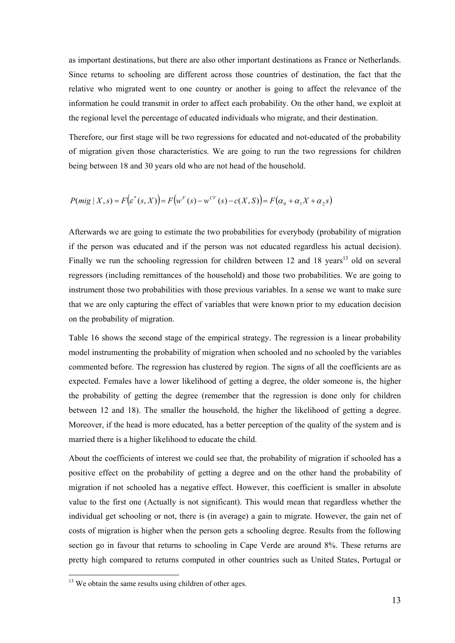as important destinations, but there are also other important destinations as France or Netherlands. Since returns to schooling are different across those countries of destination, the fact that the relative who migrated went to one country or another is going to affect the relevance of the information he could transmit in order to affect each probability. On the other hand, we exploit at the regional level the percentage of educated individuals who migrate, and their destination.

Therefore, our first stage will be two regressions for educated and not-educated of the probability of migration given those characteristics. We are going to run the two regressions for children being between 18 and 30 years old who are not head of the household.

$$
P(mig | X, s) = F(\varepsilon^*(s, X)) = F(w^F(s) - w^{CV}(s) - c(X, S)) = F(\alpha_0 + \alpha_1 X + \alpha_2 s)
$$

Afterwards we are going to estimate the two probabilities for everybody (probability of migration if the person was educated and if the person was not educated regardless his actual decision). Finally we run the schooling regression for children between 12 and 18 years<sup>13</sup> old on several regressors (including remittances of the household) and those two probabilities. We are going to instrument those two probabilities with those previous variables. In a sense we want to make sure that we are only capturing the effect of variables that were known prior to my education decision on the probability of migration.

Table 16 shows the second stage of the empirical strategy. The regression is a linear probability model instrumenting the probability of migration when schooled and no schooled by the variables commented before. The regression has clustered by region. The signs of all the coefficients are as expected. Females have a lower likelihood of getting a degree, the older someone is, the higher the probability of getting the degree (remember that the regression is done only for children between 12 and 18). The smaller the household, the higher the likelihood of getting a degree. Moreover, if the head is more educated, has a better perception of the quality of the system and is married there is a higher likelihood to educate the child.

About the coefficients of interest we could see that, the probability of migration if schooled has a positive effect on the probability of getting a degree and on the other hand the probability of migration if not schooled has a negative effect. However, this coefficient is smaller in absolute value to the first one (Actually is not significant). This would mean that regardless whether the individual get schooling or not, there is (in average) a gain to migrate. However, the gain net of costs of migration is higher when the person gets a schooling degree. Results from the following section go in favour that returns to schooling in Cape Verde are around 8%. These returns are pretty high compared to returns computed in other countries such as United States, Portugal or

 $\overline{a}$ 

 $13$  We obtain the same results using children of other ages.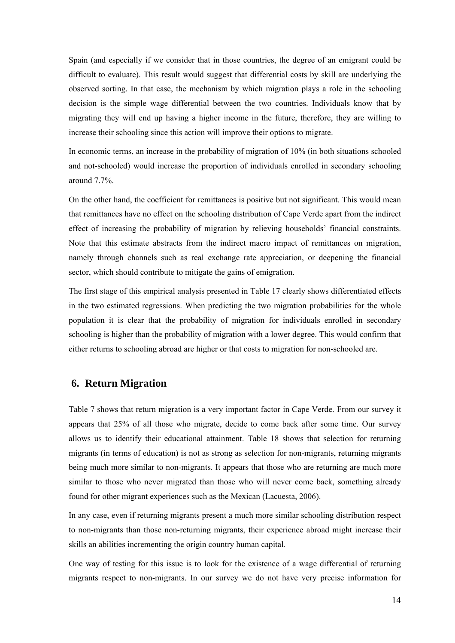Spain (and especially if we consider that in those countries, the degree of an emigrant could be difficult to evaluate). This result would suggest that differential costs by skill are underlying the observed sorting. In that case, the mechanism by which migration plays a role in the schooling decision is the simple wage differential between the two countries. Individuals know that by migrating they will end up having a higher income in the future, therefore, they are willing to increase their schooling since this action will improve their options to migrate.

In economic terms, an increase in the probability of migration of 10% (in both situations schooled and not-schooled) would increase the proportion of individuals enrolled in secondary schooling around 7.7%.

On the other hand, the coefficient for remittances is positive but not significant. This would mean that remittances have no effect on the schooling distribution of Cape Verde apart from the indirect effect of increasing the probability of migration by relieving households' financial constraints. Note that this estimate abstracts from the indirect macro impact of remittances on migration, namely through channels such as real exchange rate appreciation, or deepening the financial sector, which should contribute to mitigate the gains of emigration.

The first stage of this empirical analysis presented in Table 17 clearly shows differentiated effects in the two estimated regressions. When predicting the two migration probabilities for the whole population it is clear that the probability of migration for individuals enrolled in secondary schooling is higher than the probability of migration with a lower degree. This would confirm that either returns to schooling abroad are higher or that costs to migration for non-schooled are.

### **6. Return Migration**

Table 7 shows that return migration is a very important factor in Cape Verde. From our survey it appears that 25% of all those who migrate, decide to come back after some time. Our survey allows us to identify their educational attainment. Table 18 shows that selection for returning migrants (in terms of education) is not as strong as selection for non-migrants, returning migrants being much more similar to non-migrants. It appears that those who are returning are much more similar to those who never migrated than those who will never come back, something already found for other migrant experiences such as the Mexican (Lacuesta, 2006).

In any case, even if returning migrants present a much more similar schooling distribution respect to non-migrants than those non-returning migrants, their experience abroad might increase their skills an abilities incrementing the origin country human capital.

One way of testing for this issue is to look for the existence of a wage differential of returning migrants respect to non-migrants. In our survey we do not have very precise information for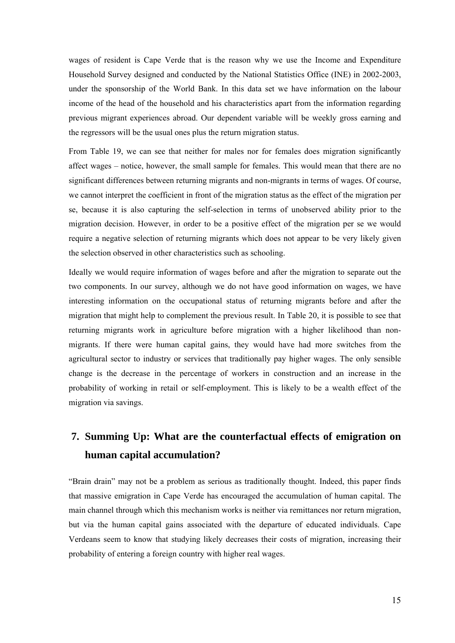wages of resident is Cape Verde that is the reason why we use the Income and Expenditure Household Survey designed and conducted by the National Statistics Office (INE) in 2002-2003, under the sponsorship of the World Bank. In this data set we have information on the labour income of the head of the household and his characteristics apart from the information regarding previous migrant experiences abroad. Our dependent variable will be weekly gross earning and the regressors will be the usual ones plus the return migration status.

From Table 19, we can see that neither for males nor for females does migration significantly affect wages – notice, however, the small sample for females. This would mean that there are no significant differences between returning migrants and non-migrants in terms of wages. Of course, we cannot interpret the coefficient in front of the migration status as the effect of the migration per se, because it is also capturing the self-selection in terms of unobserved ability prior to the migration decision. However, in order to be a positive effect of the migration per se we would require a negative selection of returning migrants which does not appear to be very likely given the selection observed in other characteristics such as schooling.

Ideally we would require information of wages before and after the migration to separate out the two components. In our survey, although we do not have good information on wages, we have interesting information on the occupational status of returning migrants before and after the migration that might help to complement the previous result. In Table 20, it is possible to see that returning migrants work in agriculture before migration with a higher likelihood than nonmigrants. If there were human capital gains, they would have had more switches from the agricultural sector to industry or services that traditionally pay higher wages. The only sensible change is the decrease in the percentage of workers in construction and an increase in the probability of working in retail or self-employment. This is likely to be a wealth effect of the migration via savings.

# **7. Summing Up: What are the counterfactual effects of emigration on human capital accumulation?**

"Brain drain" may not be a problem as serious as traditionally thought. Indeed, this paper finds that massive emigration in Cape Verde has encouraged the accumulation of human capital. The main channel through which this mechanism works is neither via remittances nor return migration, but via the human capital gains associated with the departure of educated individuals. Cape Verdeans seem to know that studying likely decreases their costs of migration, increasing their probability of entering a foreign country with higher real wages.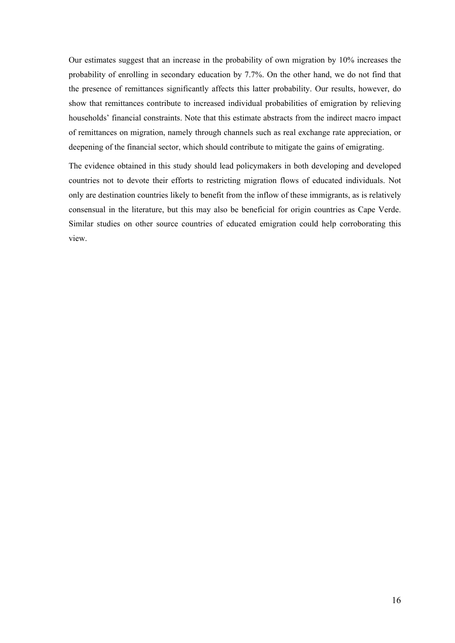Our estimates suggest that an increase in the probability of own migration by 10% increases the probability of enrolling in secondary education by 7.7%. On the other hand, we do not find that the presence of remittances significantly affects this latter probability. Our results, however, do show that remittances contribute to increased individual probabilities of emigration by relieving households' financial constraints. Note that this estimate abstracts from the indirect macro impact of remittances on migration, namely through channels such as real exchange rate appreciation, or deepening of the financial sector, which should contribute to mitigate the gains of emigrating.

The evidence obtained in this study should lead policymakers in both developing and developed countries not to devote their efforts to restricting migration flows of educated individuals. Not only are destination countries likely to benefit from the inflow of these immigrants, as is relatively consensual in the literature, but this may also be beneficial for origin countries as Cape Verde. Similar studies on other source countries of educated emigration could help corroborating this view.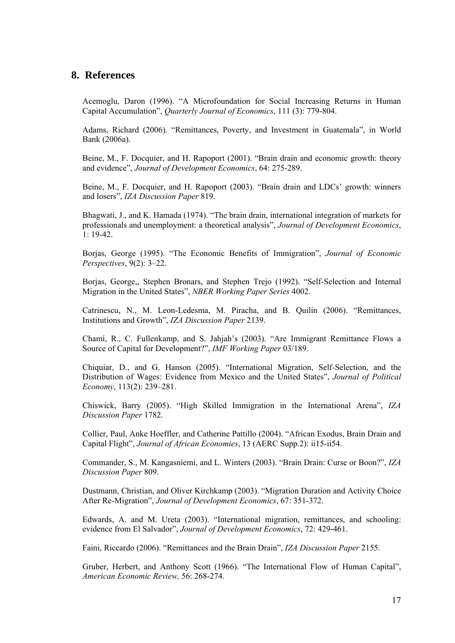### **8. References**

Acemoglu, Daron (1996). "A Microfoundation for Social Increasing Returns in Human Capital Accumulation", *Quarterly Journal of Economics*, 111 (3): 779-804.

Adams, Richard (2006). "Remittances, Poverty, and Investment in Guatemala", in World Bank (2006a).

Beine, M., F. Docquier, and H. Rapoport (2001). "Brain drain and economic growth: theory and evidence", *Journal of Development Economics*, 64: 275-289.

Beine, M., F. Docquier, and H. Rapoport (2003). "Brain drain and LDCs' growth: winners and losers", *IZA Discussion Paper* 819.

Bhagwati, J., and K. Hamada (1974). "The brain drain, international integration of markets for professionals and unemployment: a theoretical analysis", *Journal of Development Economics*, 1: 19-42.

Borjas, George (1995). "The Economic Benefits of Immigration", *Journal of Economic Perspectives*, 9(2): 3–22.

Borjas, George,, Stephen Bronars, and Stephen Trejo (1992). "Self-Selection and Internal Migration in the United States", *NBER Working Paper Series* 4002.

Catrinescu, N., M. Leon-Ledesma, M. Piracha, and B. Quilin (2006). "Remittances, Institutions and Growth", *IZA Discussion Paper* 2139.

Chami, R., C. Fullenkamp, and S. Jahjah's (2003). "Are Immigrant Remittance Flows a Source of Capital for Development?", *IMF Working Paper* 03/189.

Chiquiar, D., and G. Hanson (2005). "International Migration, Self-Selection, and the Distribution of Wages: Evidence from Mexico and the United States", *Journal of Political Economy*, 113(2): 239–281.

Chiswick, Barry (2005). "High Skilled Immigration in the International Arena", *IZA Discussion Paper* 1782.

Collier, Paul, Anke Hoeffler, and Catherine Pattillo (2004). "African Exodus, Brain Drain and Capital Flight", *Journal of African Economies*, 13 (AERC Supp.2): ii15-ii54.

Commander, S., M. Kangasniemi, and L. Winters (2003). "Brain Drain: Curse or Boon?", *IZA Discussion Paper* 809.

Dustmann, Christian, and Oliver Kirchkamp (2003). "Migration Duration and Activity Choice After Re-Migration", *Journal of Development Economics*, 67: 351-372.

Edwards, A. and M. Ureta (2003). "International migration, remittances, and schooling: evidence from El Salvador", *Journal of Development Economics*, 72: 429-461.

Faini, Riccardo (2006). "Remittances and the Brain Drain", *IZA Discussion Paper* 2155.

Gruber, Herbert, and Anthony Scott (1966). "The International Flow of Human Capital", *American Economic Review,* 56: 268-274.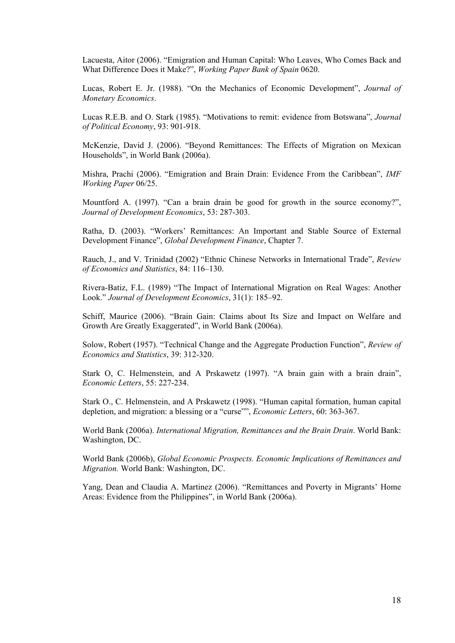Lacuesta, Aitor (2006). "Emigration and Human Capital: Who Leaves, Who Comes Back and What Difference Does it Make?", *Working Paper Bank of Spain* 0620.

Lucas, Robert E. Jr. (1988). "On the Mechanics of Economic Development", *Journal of Monetary Economics*.

Lucas R.E.B. and O. Stark (1985). "Motivations to remit: evidence from Botswana", *Journal of Political Economy*, 93: 901-918.

McKenzie, David J. (2006). "Beyond Remittances: The Effects of Migration on Mexican Households", in World Bank (2006a).

Mishra, Prachi (2006). "Emigration and Brain Drain: Evidence From the Caribbean", *IMF Working Paper* 06/25.

Mountford A. (1997). "Can a brain drain be good for growth in the source economy?", *Journal of Development Economics*, 53: 287-303.

Ratha, D. (2003). "Workers' Remittances: An Important and Stable Source of External Development Finance", *Global Development Finance*, Chapter 7.

Rauch, J., and V. Trinidad (2002) "Ethnic Chinese Networks in International Trade", *Review of Economics and Statistics*, 84: 116–130.

Rivera-Batiz, F.L. (1989) "The Impact of International Migration on Real Wages: Another Look." *Journal of Development Economics*, 31(1): 185–92.

Schiff, Maurice (2006). "Brain Gain: Claims about Its Size and Impact on Welfare and Growth Are Greatly Exaggerated", in World Bank (2006a).

Solow, Robert (1957). "Technical Change and the Aggregate Production Function", *Review of Economics and Statistics*, 39: 312-320.

Stark O, C. Helmenstein, and A Prskawetz (1997). "A brain gain with a brain drain", *Economic Letters*, 55: 227-234.

Stark O., C. Helmenstein, and A Prskawetz (1998). "Human capital formation, human capital depletion, and migration: a blessing or a "curse"", *Economic Letters*, 60: 363-367.

World Bank (2006a). *International Migration, Remittances and the Brain Drain*. World Bank: Washington, DC.

World Bank (2006b), *Global Economic Prospects. Economic Implications of Remittances and Migration.* World Bank: Washington, DC.

Yang, Dean and Claudia A. Martinez (2006). "Remittances and Poverty in Migrants' Home Areas: Evidence from the Philippines", in World Bank (2006a).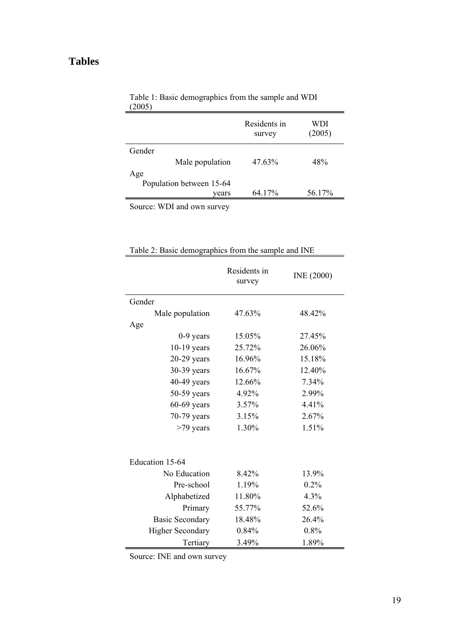## **Tables**

|                             | Residents in<br>survey | WDI<br>(2005) |
|-----------------------------|------------------------|---------------|
| Gender                      |                        |               |
| Male population             | 47.63%                 | 48%           |
| Age                         |                        |               |
| Population between 15-64    |                        |               |
| vears                       | 64.17%                 | 56.17%        |
| 1<br>$\mathbf{H}$<br>$\sim$ |                        |               |

| Table 1: Basic demographics from the sample and WDI |  |
|-----------------------------------------------------|--|
| (2005)                                              |  |

Source: WDI and own survey

|                         | Residents in<br>survey | INE (2000) |
|-------------------------|------------------------|------------|
| Gender                  |                        |            |
| Male population         | 47.63%                 | 48.42%     |
| Age                     |                        |            |
| $0-9$ years             | 15.05%                 | 27.45%     |
| $10-19$ years           | 25.72%                 | 26.06%     |
| $20-29$ years           | 16.96%                 | 15.18%     |
| 30-39 years             | 16.67%                 | 12.40%     |
| $40-49$ years           | 12.66%                 | 7.34%      |
| 50-59 years             | 4.92%                  | 2.99%      |
| $60-69$ years           | 3.57%                  | 4.41%      |
| 70-79 years             | 3.15%                  | 2.67%      |
| >79 years               | 1.30%                  | 1.51%      |
| Education 15-64         |                        |            |
| No Education            | 8.42%                  | 13.9%      |
| Pre-school              | 1.19%                  | 0.2%       |
| Alphabetized            | 11.80%                 | 4.3%       |
| Primary                 | 55.77%                 | 52.6%      |
| <b>Basic Secondary</b>  | 18.48%                 | 26.4%      |
| <b>Higher Secondary</b> | 0.84%                  | 0.8%       |
| Tertiary                | 3.49%                  | 1.89%      |

|  | Table 2: Basic demographics from the sample and INE |  |  |
|--|-----------------------------------------------------|--|--|
|  |                                                     |  |  |

Source: INE and own survey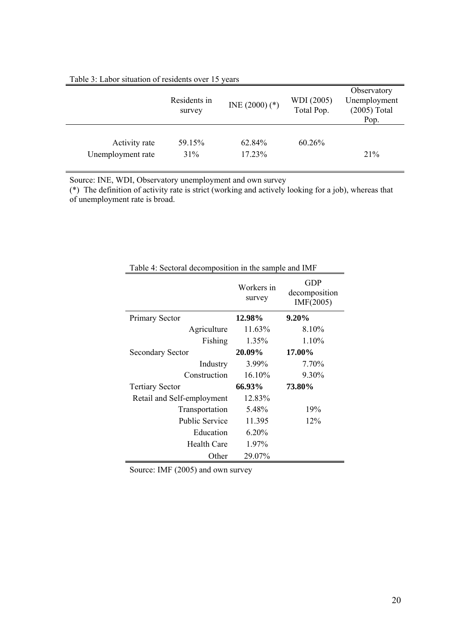|                                    | Residents in<br>survey | $INE(2000)$ (*)  | WDI (2005)<br>Total Pop. | Observatory<br>Unemployment<br>$(2005)$ Total<br>Pop. |  |  |  |
|------------------------------------|------------------------|------------------|--------------------------|-------------------------------------------------------|--|--|--|
| Activity rate<br>Unemployment rate | 59.15%<br>31%          | 62.84%<br>17.23% | 60.26%                   | 21%                                                   |  |  |  |

#### Table 3: Labor situation of residents over 15 years

Source: INE, WDI, Observatory unemployment and own survey

(\*) The definition of activity rate is strict (working and actively looking for a job), whereas that of unemployment rate is broad.

|                            | Workers in<br>survey | GDP<br>decomposition<br>IMF(2005) |
|----------------------------|----------------------|-----------------------------------|
| Primary Sector             | 12.98%               | $9.20\%$                          |
| Agriculture                | 11.63%               | 8.10%                             |
| Fishing                    | 1.35%                | $1.10\%$                          |
| <b>Secondary Sector</b>    | 20.09%               | 17.00%                            |
| Industry                   | 3.99%                | 7.70%                             |
| Construction               | 16.10%               | 9.30%                             |
| <b>Tertiary Sector</b>     | 66.93%               | 73.80%                            |
| Retail and Self-employment | 12.83%               |                                   |
| Transportation             | 5.48%                | 19%                               |
| <b>Public Service</b>      | 11.395               | 12%                               |
| Education                  | 6.20%                |                                   |
| Health Care                | 1.97%                |                                   |
| Other                      | 29.07%               |                                   |

Table 4: Sectoral decomposition in the sample and IMF

Source: IMF (2005) and own survey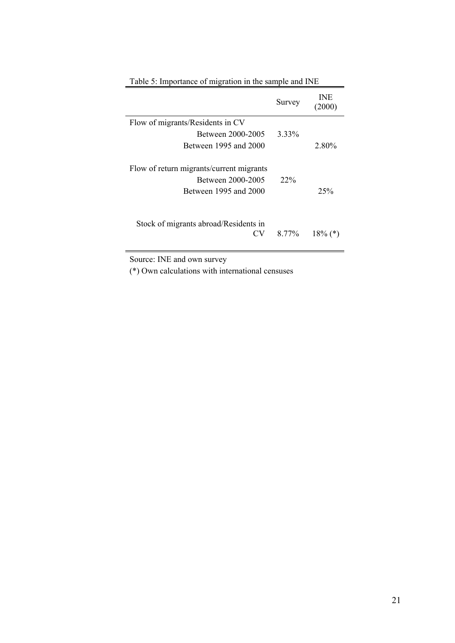| I done c. Importance of imgration in the sample and five                               |        |                      |
|----------------------------------------------------------------------------------------|--------|----------------------|
|                                                                                        | Survey | <b>INE</b><br>(2000) |
| Flow of migrants/Residents in CV                                                       |        |                      |
| Between 2000-2005                                                                      | 3.33%  |                      |
| Between 1995 and 2000                                                                  |        | 2.80%                |
| Flow of return migrants/current migrants<br>Between 2000-2005<br>Between 1995 and 2000 | $22\%$ | 25%                  |
| Stock of migrants abroad/Residents in<br>CV                                            | 8.77%  | $18\%$ (*)           |

Table 5: Importance of migration in the sample and INE

Source: INE and own survey

(\*) Own calculations with international censuses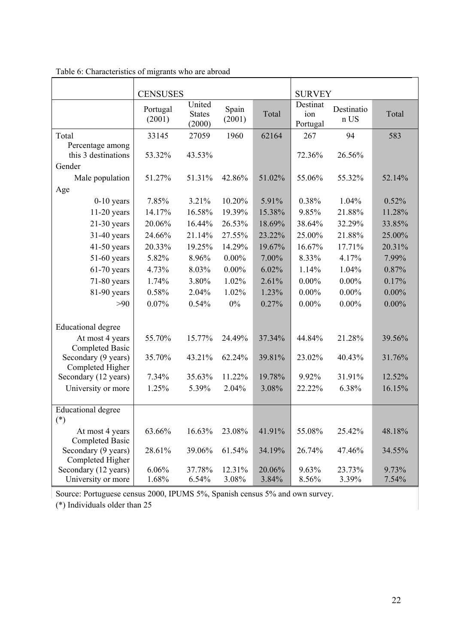|                                           | <b>CENSUSES</b>    |                                   | <b>SURVEY</b>   |        |                             |                    |          |
|-------------------------------------------|--------------------|-----------------------------------|-----------------|--------|-----------------------------|--------------------|----------|
|                                           | Portugal<br>(2001) | United<br><b>States</b><br>(2000) | Spain<br>(2001) | Total  | Destinat<br>ion<br>Portugal | Destinatio<br>n US | Total    |
| Total                                     | 33145              | 27059                             | 1960            | 62164  | 267                         | 94                 | 583      |
| Percentage among<br>this 3 destinations   | 53.32%             | 43.53%                            |                 |        | 72.36%                      | 26.56%             |          |
| Gender                                    |                    |                                   |                 |        |                             |                    |          |
| Male population                           | 51.27%             | 51.31%                            | 42.86%          | 51.02% | 55.06%                      | 55.32%             | 52.14%   |
| Age                                       |                    |                                   |                 |        |                             |                    |          |
| $0-10$ years                              | 7.85%              | 3.21%                             | 10.20%          | 5.91%  | 0.38%                       | 1.04%              | 0.52%    |
| $11-20$ years                             | 14.17%             | 16.58%                            | 19.39%          | 15.38% | 9.85%                       | 21.88%             | 11.28%   |
| $21-30$ years                             | 20.06%             | 16.44%                            | 26.53%          | 18.69% | 38.64%                      | 32.29%             | 33.85%   |
| $31-40$ years                             | 24.66%             | 21.14%                            | 27.55%          | 23.22% | 25.00%                      | 21.88%             | 25.00%   |
| $41-50$ years                             | 20.33%             | 19.25%                            | 14.29%          | 19.67% | 16.67%                      | 17.71%             | 20.31%   |
| $51-60$ years                             | 5.82%              | 8.96%                             | $0.00\%$        | 7.00%  | 8.33%                       | 4.17%              | 7.99%    |
| $61-70$ years                             | 4.73%              | 8.03%                             | $0.00\%$        | 6.02%  | 1.14%                       | 1.04%              | 0.87%    |
| 71-80 years                               | 1.74%              | 3.80%                             | 1.02%           | 2.61%  | $0.00\%$                    | $0.00\%$           | 0.17%    |
| 81-90 years                               | 0.58%              | 2.04%                             | 1.02%           | 1.23%  | $0.00\%$                    | $0.00\%$           | $0.00\%$ |
| $>90$                                     | 0.07%              | 0.54%                             | $0\%$           | 0.27%  | $0.00\%$                    | $0.00\%$           | $0.00\%$ |
|                                           |                    |                                   |                 |        |                             |                    |          |
| <b>Educational degree</b>                 |                    |                                   |                 |        |                             |                    |          |
| At most 4 years<br><b>Completed Basic</b> | 55.70%             | 15.77%                            | 24.49%          | 37.34% | 44.84%                      | 21.28%             | 39.56%   |
| Secondary (9 years)                       | 35.70%             | 43.21%                            | 62.24%          | 39.81% | 23.02%                      | 40.43%             | 31.76%   |
| Completed Higher                          |                    |                                   |                 |        |                             |                    |          |
| Secondary (12 years)                      | 7.34%              | 35.63%                            | 11.22%          | 19.78% | 9.92%                       | 31.91%             | 12.52%   |
| University or more                        | 1.25%              | 5.39%                             | 2.04%           | 3.08%  | 22.22%                      | 6.38%              | 16.15%   |
| <b>Educational degree</b>                 |                    |                                   |                 |        |                             |                    |          |
| $(*)$                                     |                    |                                   |                 |        |                             |                    |          |
| At most 4 years<br>Completed Basic        | 63.66%             | 16.63%                            | 23.08%          | 41.91% | 55.08%                      | 25.42%             | 48.18%   |
| Secondary (9 years)<br>Completed Higher   | 28.61%             | 39.06%                            | 61.54%          | 34.19% | 26.74%                      | 47.46%             | 34.55%   |
| Secondary (12 years)                      | 6.06%              | 37.78%                            | 12.31%          | 20.06% | 9.63%                       | 23.73%             | 9.73%    |
| University or more                        | 1.68%              | 6.54%                             | 3.08%           | 3.84%  | 8.56%                       | 3.39%              | 7.54%    |

Table 6: Characteristics of migrants who are abroad

Source: Portuguese census 2000, IPUMS 5%, Spanish census 5% and own survey.

(\*) Individuals older than 25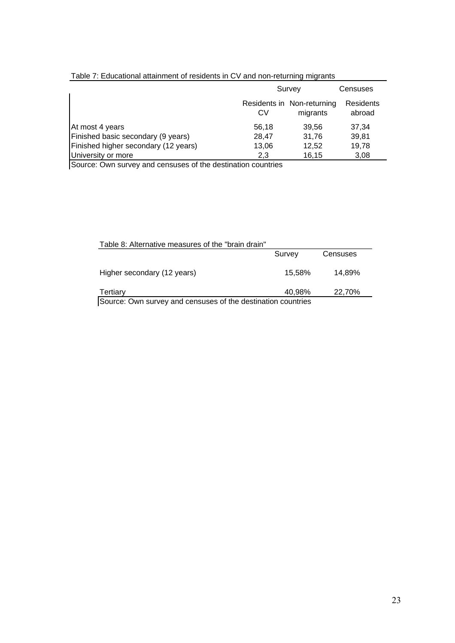| rable 7. Equcational attainment or residents in GV and non-returning migrants |           |                                        |                     |
|-------------------------------------------------------------------------------|-----------|----------------------------------------|---------------------|
|                                                                               | Survey    |                                        | Censuses            |
|                                                                               | <b>CV</b> | Residents in Non-returning<br>migrants | Residents<br>abroad |
| At most 4 years                                                               | 56.18     | 39.56                                  | 37.34               |
| Finished basic secondary (9 years)                                            | 28,47     | 31.76                                  | 39,81               |
| Finished higher secondary (12 years)                                          | 13,06     | 12.52                                  | 19,78               |
| University or more                                                            | 2,3       | 16,15                                  | 3,08                |
| $\sim$ $\sim$                                                                 |           |                                        |                     |

### Table 7: Educational attainment of residents in CV and non-returning migrants

Source: Own survey and censuses of the destination countries

| Table 8: Alternative measures of the "brain drain"           |        |          |  |  |  |
|--------------------------------------------------------------|--------|----------|--|--|--|
|                                                              | Survey | Censuses |  |  |  |
| Higher secondary (12 years)                                  | 15.58% | 14.89%   |  |  |  |
| Tertiary                                                     | 40,98% | 22,70%   |  |  |  |
| Rourse: Own survey and consuses of the destination countries |        |          |  |  |  |

Source: Own survey and censuses of the destination countries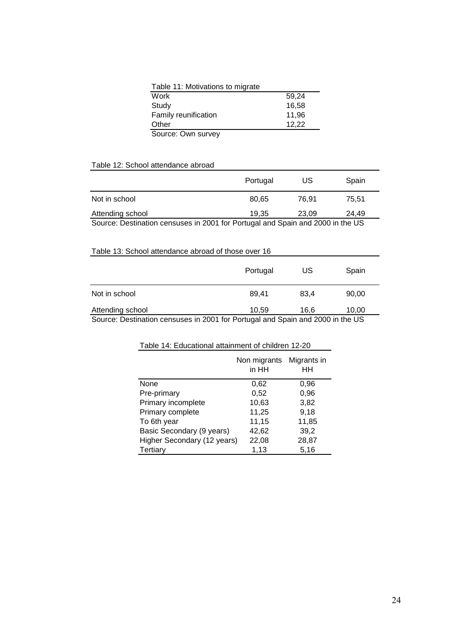| Table 11: Motivations to migrate |       |  |  |  |
|----------------------------------|-------|--|--|--|
| Work                             | 59.24 |  |  |  |
| Study                            | 16,58 |  |  |  |
| Family reunification             | 11,96 |  |  |  |
| Other                            | 12,22 |  |  |  |
| Source: Own survey               |       |  |  |  |

Table 12: School attendance abroad

|                                                                                | Portugal | US    | Spain |  |
|--------------------------------------------------------------------------------|----------|-------|-------|--|
| Not in school                                                                  | 80.65    | 76.91 | 75.51 |  |
| Attending school                                                               | 19.35    | 23.09 | 24.49 |  |
| Source: Destination censuses in 2001 for Portugal and Spain and 2000 in the US |          |       |       |  |

Table 13: School attendance abroad of those over 16

|                                                                                | Portugal | US   | Spain |  |
|--------------------------------------------------------------------------------|----------|------|-------|--|
| Not in school                                                                  | 89.41    | 83.4 | 90.00 |  |
| Attending school                                                               | 10.59    | 16.6 | 10.00 |  |
| Source: Destination censuses in 2001 for Portugal and Spain and 2000 in the US |          |      |       |  |

| Table 14: Educational attainment of children 12-20 |                             |  |  |  |
|----------------------------------------------------|-----------------------------|--|--|--|
| Non migrants<br>in HH                              | Migrants in<br>HН           |  |  |  |
| 0,62                                               | 0,96                        |  |  |  |
| 0,52                                               | 0,96                        |  |  |  |
| 10,63                                              | 3,82                        |  |  |  |
| 11,25                                              | 9,18                        |  |  |  |
| 11,15                                              | 11,85                       |  |  |  |
| 42,62                                              | 39,2                        |  |  |  |
| 22,08                                              | 28,87                       |  |  |  |
| 1,13                                               | 5,16                        |  |  |  |
|                                                    | Higher Secondary (12 years) |  |  |  |

#### Table 14: Educational attainment of children 12-20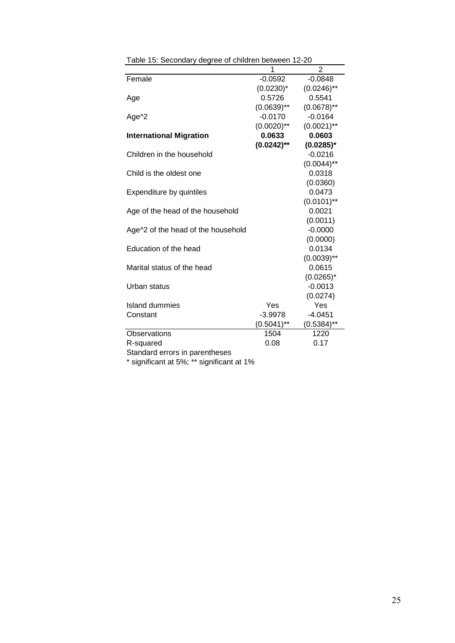|                                    | 1             | 2             |
|------------------------------------|---------------|---------------|
| Female                             | $-0.0592$     | $-0.0848$     |
|                                    | $(0.0230)^*$  | $(0.0246)$ ** |
| Age                                | 0.5726        | 0.5541        |
|                                    | $(0.0639)$ ** | $(0.0678)$ ** |
| Age <sup>^2</sup>                  | $-0.0170$     | $-0.0164$     |
|                                    | $(0.0020)$ ** | $(0.0021)$ ** |
| <b>International Migration</b>     | 0.0633        | 0.0603        |
|                                    | $(0.0242)$ ** | $(0.0285)^*$  |
| Children in the household          |               | $-0.0216$     |
|                                    |               | $(0.0044)$ ** |
| Child is the oldest one            |               | 0.0318        |
|                                    |               | (0.0360)      |
| Expenditure by quintiles           |               | 0.0473        |
|                                    |               | $(0.0101)$ ** |
| Age of the head of the household   |               | 0.0021        |
|                                    |               | (0.0011)      |
| Age^2 of the head of the household |               | $-0.0000$     |
|                                    |               | (0.0000)      |
| Education of the head              |               | 0.0134        |
|                                    |               | $(0.0039)$ ** |
| Marital status of the head         |               | 0.0615        |
|                                    |               | $(0.0265)^*$  |
| Urban status                       |               | $-0.0013$     |
|                                    |               | (0.0274)      |
| <b>Island dummies</b>              | Yes           | Yes           |
| Constant                           | $-3.9978$     | $-4.0451$     |
|                                    | $(0.5041)$ ** | $(0.5384)$ ** |
| Observations                       | 1504          | 1220          |
| R-squared                          | 0.08          | 0.17          |
| Standard errors in parentheses     |               |               |

Table 15: Secondary degree of children between 12-20

\* significant at 5%; \*\* significant at 1%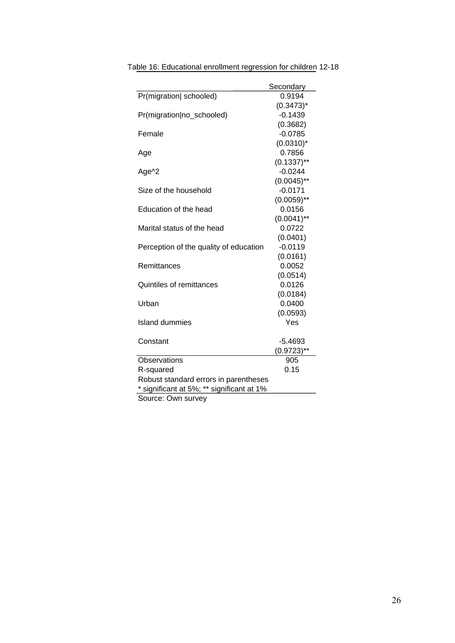|                                           | Secondary     |  |  |
|-------------------------------------------|---------------|--|--|
| Pr(migration) schooled)                   | 0.9194        |  |  |
|                                           | $(0.3473)^*$  |  |  |
| Pr(migration no_schooled)                 | $-0.1439$     |  |  |
|                                           | (0.3682)      |  |  |
| Female                                    | $-0.0785$     |  |  |
|                                           | $(0.0310)^*$  |  |  |
| Age                                       | 0.7856        |  |  |
|                                           | $(0.1337)$ ** |  |  |
| Age^2                                     | $-0.0244$     |  |  |
|                                           | $(0.0045)$ ** |  |  |
| Size of the household                     | $-0.0171$     |  |  |
|                                           | $(0.0059)$ ** |  |  |
| Education of the head                     | 0.0156        |  |  |
|                                           | $(0.0041)$ ** |  |  |
| Marital status of the head                | 0.0722        |  |  |
|                                           | (0.0401)      |  |  |
| Perception of the quality of education    | $-0.0119$     |  |  |
|                                           | (0.0161)      |  |  |
| Remittances                               | 0.0052        |  |  |
|                                           | (0.0514)      |  |  |
| <b>Quintiles of remittances</b>           | 0.0126        |  |  |
|                                           | (0.0184)      |  |  |
| Urban                                     | 0.0400        |  |  |
|                                           | (0.0593)      |  |  |
| Island dummies                            | Yes           |  |  |
|                                           |               |  |  |
| Constant                                  | $-5.4693$     |  |  |
|                                           | $(0.9723)$ ** |  |  |
| Observations                              | 905           |  |  |
| R-squared                                 | 0.15          |  |  |
| Robust standard errors in parentheses     |               |  |  |
| * significant at 5%; ** significant at 1% |               |  |  |
| Source: Own survey                        |               |  |  |

Table 16: Educational enrollment regression for children 12-18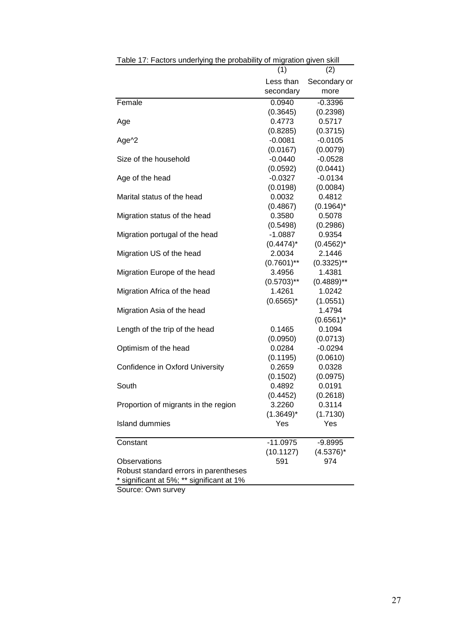| Table 17: Factors underlying the probability of migration given skill |               |               |
|-----------------------------------------------------------------------|---------------|---------------|
|                                                                       | (1)           | (2)           |
|                                                                       | Less than     | Secondary or  |
|                                                                       | secondary     | more          |
| Female                                                                | 0.0940        | $-0.3396$     |
|                                                                       | (0.3645)      | (0.2398)      |
| Age                                                                   | 0.4773        | 0.5717        |
|                                                                       | (0.8285)      | (0.3715)      |
| Age^2                                                                 | $-0.0081$     | $-0.0105$     |
|                                                                       | (0.0167)      | (0.0079)      |
| Size of the household                                                 | $-0.0440$     | $-0.0528$     |
|                                                                       | (0.0592)      | (0.0441)      |
| Age of the head                                                       | $-0.0327$     | $-0.0134$     |
|                                                                       | (0.0198)      | (0.0084)      |
| Marital status of the head                                            | 0.0032        | 0.4812        |
|                                                                       | (0.4867)      | $(0.1964)^*$  |
| Migration status of the head                                          | 0.3580        | 0.5078        |
|                                                                       | (0.5498)      | (0.2986)      |
| Migration portugal of the head                                        | $-1.0887$     | 0.9354        |
|                                                                       | $(0.4474)^*$  | $(0.4562)^*$  |
| Migration US of the head                                              | 2.0034        | 2.1446        |
|                                                                       | $(0.7601)$ ** | $(0.3325)$ ** |
| Migration Europe of the head                                          | 3.4956        | 1.4381        |
|                                                                       | $(0.5703)$ ** | $(0.4889)$ ** |
| Migration Africa of the head                                          | 1.4261        | 1.0242        |
|                                                                       | $(0.6565)^*$  | (1.0551)      |
| Migration Asia of the head                                            |               | 1.4794        |
|                                                                       |               | $(0.6561)^*$  |
| Length of the trip of the head                                        | 0.1465        | 0.1094        |
|                                                                       | (0.0950)      | (0.0713)      |
| Optimism of the head                                                  | 0.0284        | $-0.0294$     |
|                                                                       | (0.1195)      | (0.0610)      |
| Confidence in Oxford University                                       | 0.2659        | 0.0328        |
|                                                                       | (0.1502)      | (0.0975)      |
| South                                                                 | 0.4892        | 0.0191        |
|                                                                       | (0.4452)      | (0.2618)      |
| Proportion of migrants in the region                                  | 3.2260        | 0.3114        |
|                                                                       | $(1.3649)^*$  | (1.7130)      |
| <b>Island dummies</b>                                                 | Yes           | Yes           |
| Constant                                                              | $-11.0975$    | -9.8995       |
|                                                                       | (10.1127)     | $(4.5376)^*$  |
| Observations                                                          | 591           | 974           |
| Robust standard errors in parentheses                                 |               |               |
| significant at 5%; ** significant at 1%                               |               |               |

Source: Own survey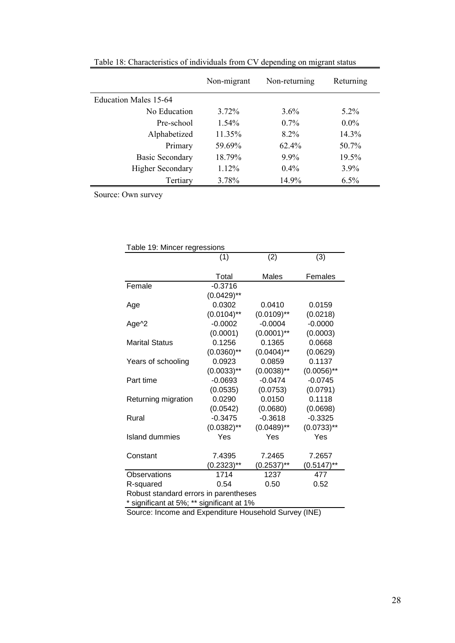|                         | Non-migrant<br>Non-returning |          | Returning |
|-------------------------|------------------------------|----------|-----------|
| Education Males 15-64   |                              |          |           |
| No Education            | $3.72\%$                     | $3.6\%$  | $5.2\%$   |
| Pre-school              | $1.54\%$                     | $0.7\%$  | $0.0\%$   |
| Alphabetized            | 11.35%                       | $8.2\%$  | 14.3%     |
| Primary                 | 59.69%                       | $62.4\%$ | 50.7%     |
| <b>Basic Secondary</b>  | 18.79%                       | $9.9\%$  | 19.5%     |
| <b>Higher Secondary</b> | 1.12%                        | $0.4\%$  | $3.9\%$   |
| Tertiary                | 3.78%                        | 14.9%    | $6.5\%$   |

Table 18: Characteristics of individuals from CV depending on migrant status

Source: Own survey

| Table 19: Mincer regressions              |               |               |               |  |  |  |  |
|-------------------------------------------|---------------|---------------|---------------|--|--|--|--|
| (3)<br>(1)<br>(2)                         |               |               |               |  |  |  |  |
|                                           |               |               |               |  |  |  |  |
| Total<br>Males<br>Females                 |               |               |               |  |  |  |  |
| Female                                    | $-0.3716$     |               |               |  |  |  |  |
|                                           | $(0.0429)$ ** |               |               |  |  |  |  |
| Age                                       | 0.0302        | 0.0410        | 0.0159        |  |  |  |  |
|                                           | $(0.0104)$ ** | $(0.0109)$ ** | (0.0218)      |  |  |  |  |
| Age^2                                     | $-0.0002$     | $-0.0004$     | $-0.0000$     |  |  |  |  |
|                                           | (0.0001)      | $(0.0001)$ ** | (0.0003)      |  |  |  |  |
| <b>Marital Status</b>                     | 0.1256        | 0.1365        | 0.0668        |  |  |  |  |
|                                           | $(0.0360)$ ** | $(0.0404)$ ** | (0.0629)      |  |  |  |  |
| Years of schooling                        | 0.0923        | 0.0859        | 0.1137        |  |  |  |  |
|                                           | $(0.0033)$ ** | $(0.0038)$ ** | $(0.0056)$ ** |  |  |  |  |
| Part time                                 | $-0.0693$     | $-0.0474$     | $-0.0745$     |  |  |  |  |
|                                           | (0.0535)      | (0.0753)      | (0.0791)      |  |  |  |  |
| Returning migration                       | 0.0290        | 0.0150        | 0.1118        |  |  |  |  |
|                                           | (0.0542)      | (0.0680)      | (0.0698)      |  |  |  |  |
| Rural                                     | $-0.3475$     | $-0.3618$     | $-0.3325$     |  |  |  |  |
|                                           | $(0.0382)$ ** | $(0.0489)$ ** | $(0.0733)$ ** |  |  |  |  |
| Island dummies                            | Yes           | Yes           | Yes           |  |  |  |  |
|                                           |               |               |               |  |  |  |  |
| Constant                                  | 7.4395        | 7.2465        | 7.2657        |  |  |  |  |
|                                           | $(0.2323)$ ** | $(0.2537)$ ** | $(0.5147)$ ** |  |  |  |  |
| Observations                              | 1714          | 1237          | 477           |  |  |  |  |
| R-squared                                 | 0.54          | 0.50          | 0.52          |  |  |  |  |
| Robust standard errors in parentheses     |               |               |               |  |  |  |  |
| * significant at 5%; ** significant at 1% |               |               |               |  |  |  |  |

Source: Income and Expenditure Household Survey (INE)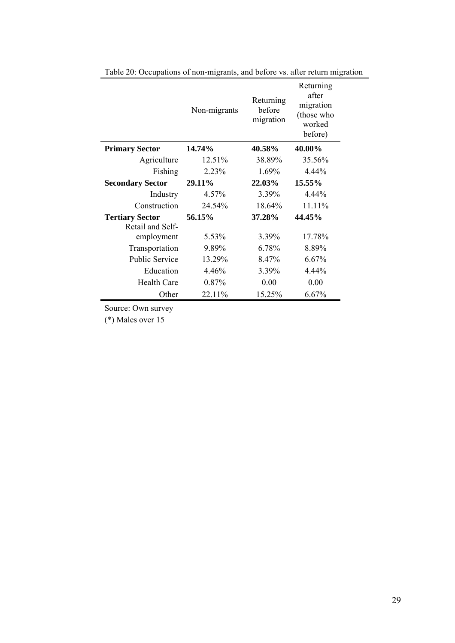|                                            | Non-migrants | Returning<br>before<br>migration | Returning<br>after<br>migration<br>(those who<br>worked<br>before) |
|--------------------------------------------|--------------|----------------------------------|--------------------------------------------------------------------|
| <b>Primary Sector</b>                      | 14.74%       | 40.58%                           | 40.00%                                                             |
| Agriculture                                | 12.51%       | 38.89%                           | 35.56%                                                             |
| Fishing                                    | 2.23%        | 1.69%                            | 4.44%                                                              |
| <b>Secondary Sector</b>                    | 29.11%       | 22.03%                           | 15.55%                                                             |
| Industry                                   | 4.57%        | 3.39%                            | 4.44%                                                              |
| Construction                               | 24.54%       | 18.64%                           | 11.11%                                                             |
| <b>Tertiary Sector</b><br>Retail and Self- | 56.15%       | 37.28%                           | 44.45%                                                             |
| employment                                 | 5.53%        | 3.39%                            | 17.78%                                                             |
| Transportation                             | 9.89%        | 6.78%                            | 8.89%                                                              |
| <b>Public Service</b>                      | 13.29%       | 8.47%                            | 6.67%                                                              |
| Education                                  | 4.46%        | 3.39%                            | $4.44\%$                                                           |
| <b>Health Care</b>                         | 0.87%        | 0.00                             | 0.00                                                               |
| Other                                      | 22.11%       | 15.25%                           | 6.67%                                                              |

Table 20: Occupations of non-migrants, and before vs. after return migration

Source: Own survey

(\*) Males over 15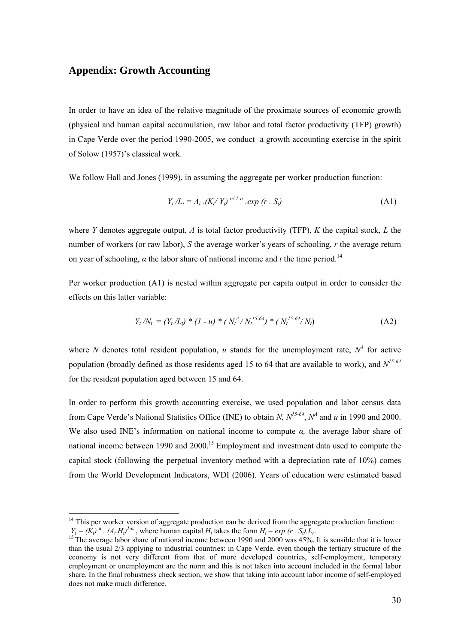### **Appendix: Growth Accounting**

 $\overline{a}$ 

In order to have an idea of the relative magnitude of the proximate sources of economic growth (physical and human capital accumulation, raw labor and total factor productivity (TFP) growth) in Cape Verde over the period 1990-2005, we conduct a growth accounting exercise in the spirit of Solow (1957)'s classical work.

We follow Hall and Jones (1999), in assuming the aggregate per worker production function:

$$
Y_t / L_t = A_t . (K_t / Y_t)^{\alpha / 1 - \alpha} . exp (r . S_t)
$$
 (A1)

where *Y* denotes aggregate output, *A* is total factor productivity (TFP), *K* the capital stock, *L* the number of workers (or raw labor), *S* the average worker's years of schooling, *r* the average return on year of schooling,  $\alpha$  the labor share of national income and *t* the time period.<sup>14</sup>

Per worker production (A1) is nested within aggregate per capita output in order to consider the effects on this latter variable:

$$
Y_t/N_t = (Y_t/L_t) * (1 - u) * (N_t^A/N_t^{15-64}) * (N_t^{15-64}/N_t)
$$
 (A2)

where N denotes total resident population, u stands for the unemployment rate,  $N^4$  for active population (broadly defined as those residents aged 15 to 64 that are available to work), and *N15-64* for the resident population aged between 15 and 64.

In order to perform this growth accounting exercise, we used population and labor census data from Cape Verde's National Statistics Office (INE) to obtain *N, N*<sup>15-64</sup>,  $N^4$  and *u* in 1990 and 2000. We also used INE's information on national income to compute *α,* the average labor share of national income between 1990 and 2000.<sup>15</sup> Employment and investment data used to compute the capital stock (following the perpetual inventory method with a depreciation rate of 10%) comes from the World Development Indicators, WDI (2006). Years of education were estimated based

 $14$  This per worker version of aggregate production can be derived from the aggregate production function:

 $Y_t = (K_t)^{\alpha}$ .  $(A_t H_t)^{1-\alpha}$ , where human capital  $H_t$  takes the form  $H_t = exp (r \cdot S_t) \cdot L_t$ .<br><sup>15</sup> The average labor share of national income between 1990 and 2000 was 45%. It is sensible that it is lower than the usual 2/3 applying to industrial countries: in Cape Verde, even though the tertiary structure of the economy is not very different from that of more developed countries, self-employment, temporary employment or unemployment are the norm and this is not taken into account included in the formal labor share. In the final robustness check section, we show that taking into account labor income of self-employed does not make much difference.